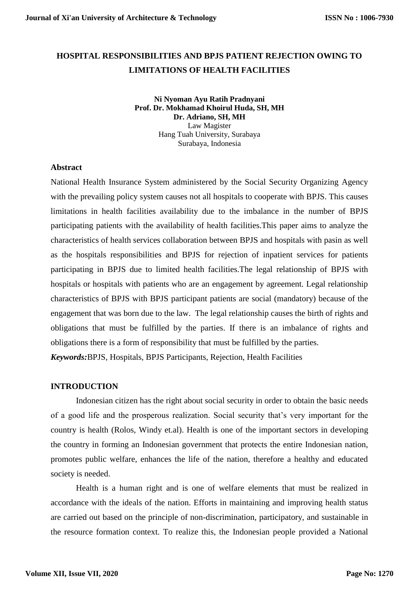# **HOSPITAL RESPONSIBILITIES AND BPJS PATIENT REJECTION OWING TO LIMITATIONS OF HEALTH FACILITIES**

**Ni Nyoman Ayu Ratih Pradnyani Prof. Dr. Mokhamad Khoirul Huda, SH, MH Dr. Adriano, SH, MH** Law Magister Hang Tuah University, Surabaya Surabaya, Indonesia

#### **Abstract**

National Health Insurance System administered by the Social Security Organizing Agency with the prevailing policy system causes not all hospitals to cooperate with BPJS. This causes limitations in health facilities availability due to the imbalance in the number of BPJS participating patients with the availability of health facilities.This paper aims to analyze the characteristics of health services collaboration between BPJS and hospitals with pasin as well as the hospitals responsibilities and BPJS for rejection of inpatient services for patients participating in BPJS due to limited health facilities.The legal relationship of BPJS with hospitals or hospitals with patients who are an engagement by agreement. Legal relationship characteristics of BPJS with BPJS participant patients are social (mandatory) because of the engagement that was born due to the law. The legal relationship causes the birth of rights and obligations that must be fulfilled by the parties. If there is an imbalance of rights and obligations there is a form of responsibility that must be fulfilled by the parties. *Keywords:*BPJS, Hospitals, BPJS Participants, Rejection, Health Facilities

## **INTRODUCTION**

Indonesian citizen has the right about social security in order to obtain the basic needs of a good life and the prosperous realization. Social security that's very important for the country is health (Rolos, Windy et.al). Health is one of the important sectors in developing the country in forming an Indonesian government that protects the entire Indonesian nation, promotes public welfare, enhances the life of the nation, therefore a healthy and educated society is needed.

Health is a human right and is one of welfare elements that must be realized in accordance with the ideals of the nation. Efforts in maintaining and improving health status are carried out based on the principle of non-discrimination, participatory, and sustainable in the resource formation context. To realize this, the Indonesian people provided a National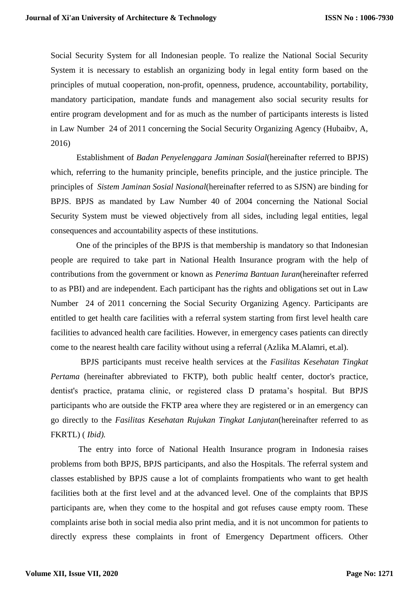Social Security System for all Indonesian people. To realize the National Social Security System it is necessary to establish an organizing body in legal entity form based on the principles of mutual cooperation, non-profit, openness, prudence, accountability, portability, mandatory participation, mandate funds and management also social security results for entire program development and for as much as the number of participants interests is listed in Law Number 24 of 2011 concerning the Social Security Organizing Agency (Hubaibv, A, 2016)

 Establishment of *Badan Penyelenggara Jaminan Sosial*(hereinafter referred to BPJS) which, referring to the humanity principle, benefits principle, and the justice principle. The principles of *Sistem Jaminan Sosial Nasional*(hereinafter referred to as SJSN) are binding for BPJS. BPJS as mandated by Law Number 40 of 2004 concerning the National Social Security System must be viewed objectively from all sides, including legal entities, legal consequences and accountability aspects of these institutions.

 One of the principles of the BPJS is that membership is mandatory so that Indonesian people are required to take part in National Health Insurance program with the help of contributions from the government or known as *Penerima Bantuan Iuran*(hereinafter referred to as PBI) and are independent. Each participant has the rights and obligations set out in Law Number 24 of 2011 concerning the Social Security Organizing Agency. Participants are entitled to get health care facilities with a referral system starting from first level health care facilities to advanced health care facilities. However, in emergency cases patients can directly come to the nearest health care facility without using a referral (Azlika M.Alamri, et.al).

 BPJS participants must receive health services at the *Fasilitas Kesehatan Tingkat Pertama* (hereinafter abbreviated to FKTP), both public healtf center, doctor's practice, dentist's practice, pratama clinic, or registered class D pratama's hospital. But BPJS participants who are outside the FKTP area where they are registered or in an emergency can go directly to the *Fasilitas Kesehatan Rujukan Tingkat Lanjutan*(hereinafter referred to as FKRTL) ( *Ibid).*

The entry into force of National Health Insurance program in Indonesia raises problems from both BPJS, BPJS participants, and also the Hospitals. The referral system and classes established by BPJS cause a lot of complaints frompatients who want to get health facilities both at the first level and at the advanced level. One of the complaints that BPJS participants are, when they come to the hospital and got refuses cause empty room. These complaints arise both in social media also print media, and it is not uncommon for patients to directly express these complaints in front of Emergency Department officers. Other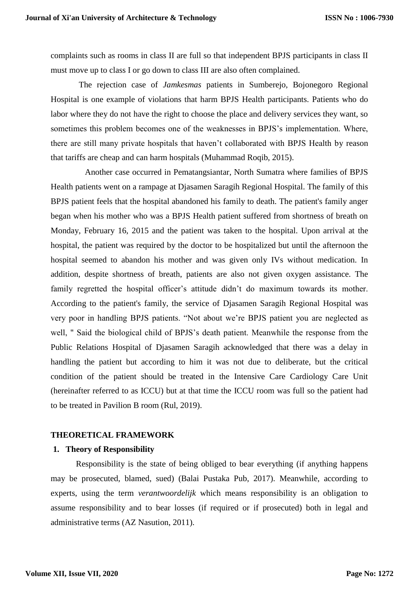complaints such as rooms in class II are full so that independent BPJS participants in class II must move up to class I or go down to class III are also often complained.

The rejection case of *Jamkesmas* patients in Sumberejo, Bojonegoro Regional Hospital is one example of violations that harm BPJS Health participants. Patients who do labor where they do not have the right to choose the place and delivery services they want, so sometimes this problem becomes one of the weaknesses in BPJS's implementation. Where, there are still many private hospitals that haven't collaborated with BPJS Health by reason that tariffs are cheap and can harm hospitals (Muhammad Roqib, 2015).

Another case occurred in Pematangsiantar, North Sumatra where families of BPJS Health patients went on a rampage at Djasamen Saragih Regional Hospital. The family of this BPJS patient feels that the hospital abandoned his family to death. The patient's family anger began when his mother who was a BPJS Health patient suffered from shortness of breath on Monday, February 16, 2015 and the patient was taken to the hospital. Upon arrival at the hospital, the patient was required by the doctor to be hospitalized but until the afternoon the hospital seemed to abandon his mother and was given only IVs without medication. In addition, despite shortness of breath, patients are also not given oxygen assistance. The family regretted the hospital officer's attitude didn't do maximum towards its mother. According to the patient's family, the service of Djasamen Saragih Regional Hospital was very poor in handling BPJS patients. "Not about we're BPJS patient you are neglected as well, " Said the biological child of BPJS's death patient. Meanwhile the response from the Public Relations Hospital of Djasamen Saragih acknowledged that there was a delay in handling the patient but according to him it was not due to deliberate, but the critical condition of the patient should be treated in the Intensive Care Cardiology Care Unit (hereinafter referred to as ICCU) but at that time the ICCU room was full so the patient had to be treated in Pavilion B room (Rul, 2019).

#### **THEORETICAL FRAMEWORK**

#### **1. Theory of Responsibility**

Responsibility is the state of being obliged to bear everything (if anything happens may be prosecuted, blamed, sued) (Balai Pustaka Pub, 2017). Meanwhile, according to experts, using the term *verantwoordelijk* which means responsibility is an obligation to assume responsibility and to bear losses (if required or if prosecuted) both in legal and administrative terms (AZ Nasution, 2011).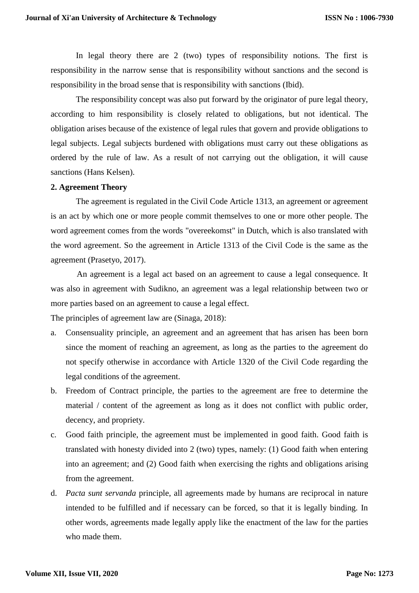In legal theory there are 2 (two) types of responsibility notions. The first is responsibility in the narrow sense that is responsibility without sanctions and the second is responsibility in the broad sense that is responsibility with sanctions (Ibid).

The responsibility concept was also put forward by the originator of pure legal theory, according to him responsibility is closely related to obligations, but not identical. The obligation arises because of the existence of legal rules that govern and provide obligations to legal subjects. Legal subjects burdened with obligations must carry out these obligations as ordered by the rule of law. As a result of not carrying out the obligation, it will cause sanctions (Hans Kelsen).

#### **2. Agreement Theory**

 The agreement is regulated in the Civil Code Article 1313, an agreement or agreement is an act by which one or more people commit themselves to one or more other people. The word agreement comes from the words "overeekomst" in Dutch, which is also translated with the word agreement. So the agreement in Article 1313 of the Civil Code is the same as the agreement (Prasetyo, 2017).

 An agreement is a legal act based on an agreement to cause a legal consequence. It was also in agreement with Sudikno, an agreement was a legal relationship between two or more parties based on an agreement to cause a legal effect.

The principles of agreement law are (Sinaga, 2018):

- a. Consensuality principle, an agreement and an agreement that has arisen has been born since the moment of reaching an agreement, as long as the parties to the agreement do not specify otherwise in accordance with Article 1320 of the Civil Code regarding the legal conditions of the agreement.
- b. Freedom of Contract principle, the parties to the agreement are free to determine the material / content of the agreement as long as it does not conflict with public order, decency, and propriety.
- c. Good faith principle, the agreement must be implemented in good faith. Good faith is translated with honesty divided into 2 (two) types, namely: (1) Good faith when entering into an agreement; and (2) Good faith when exercising the rights and obligations arising from the agreement.
- d. *Pacta sunt servanda* principle, all agreements made by humans are reciprocal in nature intended to be fulfilled and if necessary can be forced, so that it is legally binding. In other words, agreements made legally apply like the enactment of the law for the parties who made them.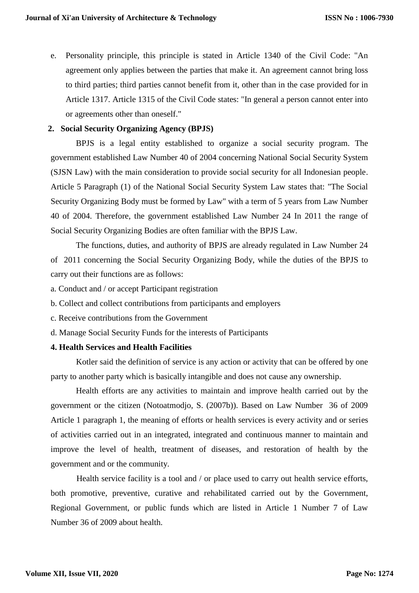e. Personality principle, this principle is stated in Article 1340 of the Civil Code: "An agreement only applies between the parties that make it. An agreement cannot bring loss to third parties; third parties cannot benefit from it, other than in the case provided for in Article 1317. Article 1315 of the Civil Code states: "In general a person cannot enter into or agreements other than oneself."

# **2. Social Security Organizing Agency (BPJS)**

BPJS is a legal entity established to organize a social security program. The government established Law Number 40 of 2004 concerning National Social Security System (SJSN Law) with the main consideration to provide social security for all Indonesian people. Article 5 Paragraph (1) of the National Social Security System Law states that: "The Social Security Organizing Body must be formed by Law" with a term of 5 years from Law Number 40 of 2004. Therefore, the government established Law Number 24 In 2011 the range of Social Security Organizing Bodies are often familiar with the BPJS Law.

The functions, duties, and authority of BPJS are already regulated in Law Number 24 of 2011 concerning the Social Security Organizing Body, while the duties of the BPJS to carry out their functions are as follows:

a. Conduct and / or accept Participant registration

b. Collect and collect contributions from participants and employers

- c. Receive contributions from the Government
- d. Manage Social Security Funds for the interests of Participants

## **4. Health Services and Health Facilities**

 Kotler said the definition of service is any action or activity that can be offered by one party to another party which is basically intangible and does not cause any ownership.

Health efforts are any activities to maintain and improve health carried out by the government or the citizen (Notoatmodjo, S. (2007b)). Based on Law Number 36 of 2009 Article 1 paragraph 1, the meaning of efforts or health services is every activity and or series of activities carried out in an integrated, integrated and continuous manner to maintain and improve the level of health, treatment of diseases, and restoration of health by the government and or the community.

 Health service facility is a tool and / or place used to carry out health service efforts, both promotive, preventive, curative and rehabilitated carried out by the Government, Regional Government, or public funds which are listed in Article 1 Number 7 of Law Number 36 of 2009 about health.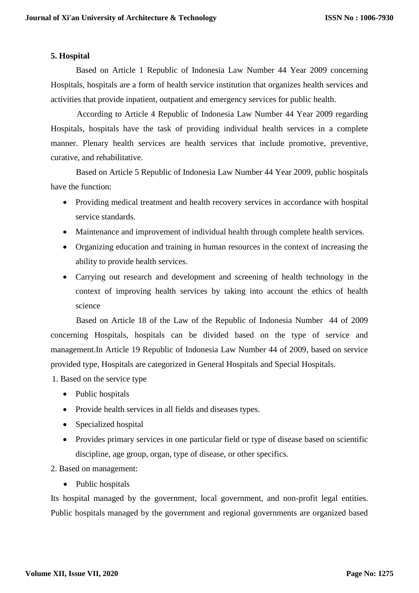#### **5. Hospital**

Based on Article 1 Republic of Indonesia Law Number 44 Year 2009 concerning Hospitals, hospitals are a form of health service institution that organizes health services and activities that provide inpatient, outpatient and emergency services for public health.

 According to Article 4 Republic of Indonesia Law Number 44 Year 2009 regarding Hospitals, hospitals have the task of providing individual health services in a complete manner. Plenary health services are health services that include promotive, preventive, curative, and rehabilitative.

 Based on Article 5 Republic of Indonesia Law Number 44 Year 2009, public hospitals have the function:

- Providing medical treatment and health recovery services in accordance with hospital service standards.
- Maintenance and improvement of individual health through complete health services.
- Organizing education and training in human resources in the context of increasing the ability to provide health services.
- Carrying out research and development and screening of health technology in the context of improving health services by taking into account the ethics of health science

Based on Article 18 of the Law of the Republic of Indonesia Number 44 of 2009 concerning Hospitals, hospitals can be divided based on the type of service and management.In Article 19 Republic of Indonesia Law Number 44 of 2009, based on service provided type, Hospitals are categorized in General Hospitals and Special Hospitals.

1. Based on the service type

- Public hospitals
- Provide health services in all fields and diseases types.
- Specialized hospital
- Provides primary services in one particular field or type of disease based on scientific discipline, age group, organ, type of disease, or other specifics.

2. Based on management:

• Public hospitals

Its hospital managed by the government, local government, and non-profit legal entities. Public hospitals managed by the government and regional governments are organized based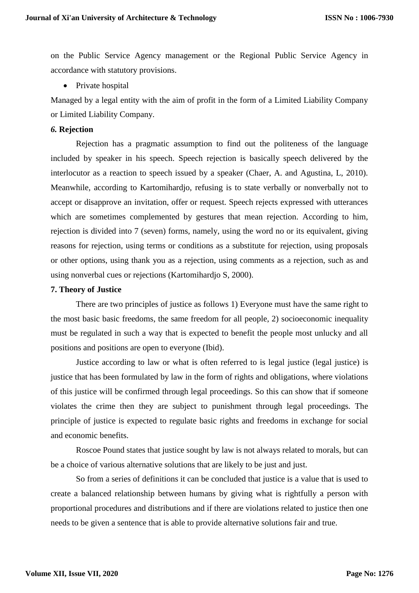on the Public Service Agency management or the Regional Public Service Agency in accordance with statutory provisions.

• Private hospital

Managed by a legal entity with the aim of profit in the form of a Limited Liability Company or Limited Liability Company.

# *6.* **Rejection**

Rejection has a pragmatic assumption to find out the politeness of the language included by speaker in his speech. Speech rejection is basically speech delivered by the interlocutor as a reaction to speech issued by a speaker (Chaer, A. and Agustina, L, 2010). Meanwhile, according to Kartomihardjo, refusing is to state verbally or nonverbally not to accept or disapprove an invitation, offer or request. Speech rejects expressed with utterances which are sometimes complemented by gestures that mean rejection. According to him, rejection is divided into 7 (seven) forms, namely, using the word no or its equivalent, giving reasons for rejection, using terms or conditions as a substitute for rejection, using proposals or other options, using thank you as a rejection, using comments as a rejection, such as and using nonverbal cues or rejections (Kartomihardjo S, 2000).

# **7. Theory of Justice**

There are two principles of justice as follows 1) Everyone must have the same right to the most basic basic freedoms, the same freedom for all people, 2) socioeconomic inequality must be regulated in such a way that is expected to benefit the people most unlucky and all positions and positions are open to everyone (Ibid).

Justice according to law or what is often referred to is legal justice (legal justice) is justice that has been formulated by law in the form of rights and obligations, where violations of this justice will be confirmed through legal proceedings. So this can show that if someone violates the crime then they are subject to punishment through legal proceedings. The principle of justice is expected to regulate basic rights and freedoms in exchange for social and economic benefits.

Roscoe Pound states that justice sought by law is not always related to morals, but can be a choice of various alternative solutions that are likely to be just and just.

So from a series of definitions it can be concluded that justice is a value that is used to create a balanced relationship between humans by giving what is rightfully a person with proportional procedures and distributions and if there are violations related to justice then one needs to be given a sentence that is able to provide alternative solutions fair and true.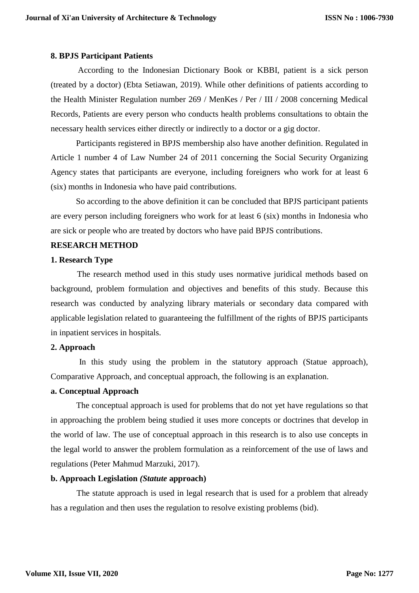#### **8. BPJS Participant Patients**

 According to the Indonesian Dictionary Book or KBBI, patient is a sick person (treated by a doctor) (Ebta Setiawan, 2019). While other definitions of patients according to the Health Minister Regulation number 269 / MenKes / Per / III / 2008 concerning Medical Records, Patients are every person who conducts health problems consultations to obtain the necessary health services either directly or indirectly to a doctor or a gig doctor.

 Participants registered in BPJS membership also have another definition. Regulated in Article 1 number 4 of Law Number 24 of 2011 concerning the Social Security Organizing Agency states that participants are everyone, including foreigners who work for at least 6 (six) months in Indonesia who have paid contributions.

 So according to the above definition it can be concluded that BPJS participant patients are every person including foreigners who work for at least 6 (six) months in Indonesia who are sick or people who are treated by doctors who have paid BPJS contributions.

#### **RESEARCH METHOD**

#### **1. Research Type**

 The research method used in this study uses normative juridical methods based on background, problem formulation and objectives and benefits of this study. Because this research was conducted by analyzing library materials or secondary data compared with applicable legislation related to guaranteeing the fulfillment of the rights of BPJS participants in inpatient services in hospitals.

#### **2. Approach**

 In this study using the problem in the statutory approach (Statue approach), Comparative Approach, and conceptual approach, the following is an explanation.

#### **a. Conceptual Approach**

 The conceptual approach is used for problems that do not yet have regulations so that in approaching the problem being studied it uses more concepts or doctrines that develop in the world of law. The use of conceptual approach in this research is to also use concepts in the legal world to answer the problem formulation as a reinforcement of the use of laws and regulations (Peter Mahmud Marzuki, 2017).

## **b. Approach Legislation** *(Statute* **approach)**

 The statute approach is used in legal research that is used for a problem that already has a regulation and then uses the regulation to resolve existing problems (bid).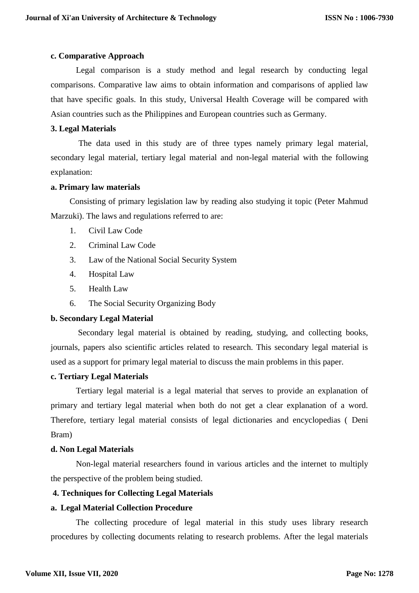#### **c. Comparative Approach**

Legal comparison is a study method and legal research by conducting legal comparisons. Comparative law aims to obtain information and comparisons of applied law that have specific goals. In this study, Universal Health Coverage will be compared with Asian countries such as the Philippines and European countries such as Germany.

#### **3. Legal Materials**

 The data used in this study are of three types namely primary legal material, secondary legal material, tertiary legal material and non-legal material with the following explanation:

#### **a. Primary law materials**

Consisting of primary legislation law by reading also studying it topic (Peter Mahmud Marzuki). The laws and regulations referred to are:

- 1. Civil Law Code
- 2. Criminal Law Code
- 3. Law of the National Social Security System
- 4. Hospital Law
- 5. Health Law
- 6. The Social Security Organizing Body

## **b. Secondary Legal Material**

 Secondary legal material is obtained by reading, studying, and collecting books, journals, papers also scientific articles related to research. This secondary legal material is used as a support for primary legal material to discuss the main problems in this paper.

#### **c. Tertiary Legal Materials**

Tertiary legal material is a legal material that serves to provide an explanation of primary and tertiary legal material when both do not get a clear explanation of a word. Therefore, tertiary legal material consists of legal dictionaries and encyclopedias ( Deni Bram)

## **d. Non Legal Materials**

Non-legal material researchers found in various articles and the internet to multiply the perspective of the problem being studied.

## **4. Techniques for Collecting Legal Materials**

## **a. Legal Material Collection Procedure**

The collecting procedure of legal material in this study uses library research procedures by collecting documents relating to research problems. After the legal materials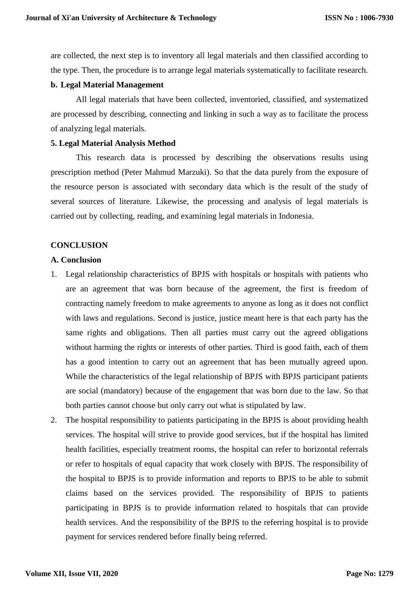are collected, the next step is to inventory all legal materials and then classified according to the type. Then, the procedure is to arrange legal materials systematically to facilitate research.

#### **b. Legal Material Management**

All legal materials that have been collected, inventoried, classified, and systematized are processed by describing, connecting and linking in such a way as to facilitate the process of analyzing legal materials.

#### **5. Legal Material Analysis Method**

This research data is processed by describing the observations results using prescription method (Peter Mahmud Marzuki). So that the data purely from the exposure of the resource person is associated with secondary data which is the result of the study of several sources of literature. Likewise, the processing and analysis of legal materials is carried out by collecting, reading, and examining legal materials in Indonesia.

## **CONCLUSION**

## **A. Conclusion**

- 1. Legal relationship characteristics of BPJS with hospitals or hospitals with patients who are an agreement that was born because of the agreement, the first is freedom of contracting namely freedom to make agreements to anyone as long as it does not conflict with laws and regulations. Second is justice, justice meant here is that each party has the same rights and obligations. Then all parties must carry out the agreed obligations without harming the rights or interests of other parties. Third is good faith, each of them has a good intention to carry out an agreement that has been mutually agreed upon. While the characteristics of the legal relationship of BPJS with BPJS participant patients are social (mandatory) because of the engagement that was born due to the law. So that both parties cannot choose but only carry out what is stipulated by law.
- 2. The hospital responsibility to patients participating in the BPJS is about providing health services. The hospital will strive to provide good services, but if the hospital has limited health facilities, especially treatment rooms, the hospital can refer to horizontal referrals or refer to hospitals of equal capacity that work closely with BPJS. The responsibility of the hospital to BPJS is to provide information and reports to BPJS to be able to submit claims based on the services provided. The responsibility of BPJS to patients participating in BPJS is to provide information related to hospitals that can provide health services. And the responsibility of the BPJS to the referring hospital is to provide payment for services rendered before finally being referred.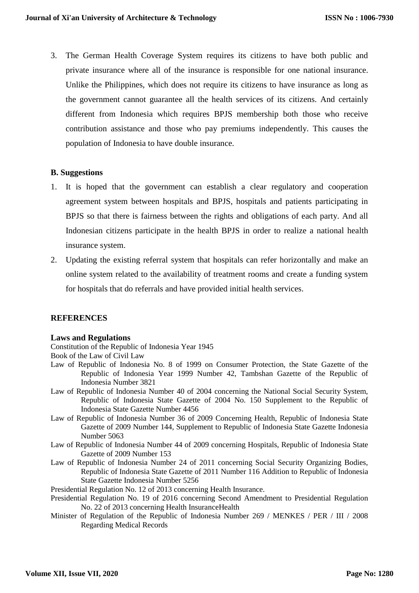3. The German Health Coverage System requires its citizens to have both public and private insurance where all of the insurance is responsible for one national insurance. Unlike the Philippines, which does not require its citizens to have insurance as long as the government cannot guarantee all the health services of its citizens. And certainly different from Indonesia which requires BPJS membership both those who receive contribution assistance and those who pay premiums independently. This causes the population of Indonesia to have double insurance.

## **B. Suggestions**

- 1. It is hoped that the government can establish a clear regulatory and cooperation agreement system between hospitals and BPJS, hospitals and patients participating in BPJS so that there is fairness between the rights and obligations of each party. And all Indonesian citizens participate in the health BPJS in order to realize a national health insurance system.
- 2. Updating the existing referral system that hospitals can refer horizontally and make an online system related to the availability of treatment rooms and create a funding system for hospitals that do referrals and have provided initial health services.

## **REFERENCES**

#### **Laws and Regulations**

Constitution of the Republic of Indonesia Year 1945

Book of the Law of Civil Law

- Law of Republic of Indonesia No. 8 of 1999 on Consumer Protection, the State Gazette of the Republic of Indonesia Year 1999 Number 42, Tambshan Gazette of the Republic of Indonesia Number 3821
- Law of Republic of Indonesia Number 40 of 2004 concerning the National Social Security System, Republic of Indonesia State Gazette of 2004 No. 150 Supplement to the Republic of Indonesia State Gazette Number 4456
- Law of Republic of Indonesia Number 36 of 2009 Concerning Health, Republic of Indonesia State Gazette of 2009 Number 144, Supplement to Republic of Indonesia State Gazette Indonesia Number 5063
- Law of Republic of Indonesia Number 44 of 2009 concerning Hospitals, Republic of Indonesia State Gazette of 2009 Number 153
- Law of Republic of Indonesia Number 24 of 2011 concerning Social Security Organizing Bodies, Republic of Indonesia State Gazette of 2011 Number 116 Addition to Republic of Indonesia State Gazette Indonesia Number 5256
- Presidential Regulation No. 12 of 2013 concerning Health Insurance.
- Presidential Regulation No. 19 of 2016 concerning Second Amendment to Presidential Regulation No. 22 of 2013 concerning Health InsuranceHealth
- Minister of Regulation of the Republic of Indonesia Number 269 / MENKES / PER / III / 2008 Regarding Medical Records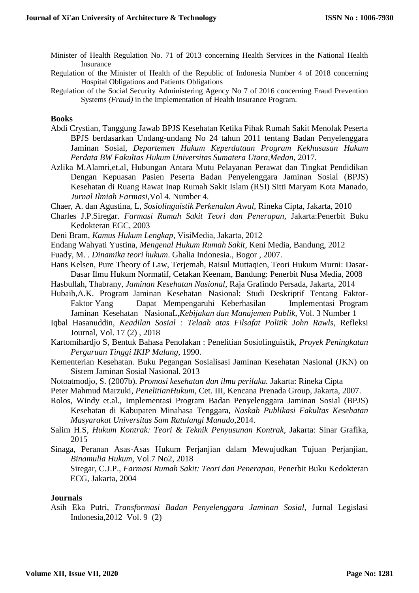- Minister of Health Regulation No. 71 of 2013 concerning Health Services in the National Health Insurance
- Regulation of the Minister of Health of the Republic of Indonesia Number 4 of 2018 concerning Hospital Obligations and Patients Obligations
- Regulation of the Social Security Administering Agency No 7 of 2016 concerning Fraud Prevention Systems *(Fraud)* in the Implementation of Health Insurance Program.

#### **Books**

- Abdi Crystian, Tanggung Jawab BPJS Kesehatan Ketika Pihak Rumah Sakit Menolak Peserta BPJS berdasarkan Undang-undang No 24 tahun 2011 tentang Badan Penyelenggara Jaminan Sosial, *Departemen Hukum Keperdataan Program Kekhususan Hukum Perdata BW Fakultas Hukum Universitas Sumatera Utara,Medan,* 2017.
- Azlika M.Alamri,et.al, Hubungan Antara Mutu Pelayanan Perawat dan Tingkat Pendidikan Dengan Kepuasan Pasien Peserta Badan Penyelenggara Jaminan Sosial (BPJS) Kesehatan di Ruang Rawat Inap Rumah Sakit Islam (RSI) Sitti Maryam Kota Manado, *Jurnal Ilmiah Farmasi,*Vol 4. Number 4.
- Chaer, A. dan Agustina, L, *Sosiolinguistik Perkenalan Awal,* Rineka Cipta, Jakarta, 2010
- Charles J.P.Siregar. *Farmasi Rumah Sakit Teori dan Penerapan*, Jakarta:Penerbit Buku Kedokteran EGC, 2003
- Deni Bram, *Kamus Hukum Lengkap*, VisiMedia, Jakarta, 2012
- Endang Wahyati Yustina, *Mengenal Hukum Rumah Sakit*, Keni Media, Bandung, 2012
- Fuady, M. . *Dinamika teori hukum*. Ghalia Indonesia., Bogor , 2007.
- Hans Kelsen, Pure Theory of Law, Terjemah, Raisul Muttaqien, Teori Hukum Murni: Dasar-Dasar Ilmu Hukum Normatif, Cetakan Keenam, Bandung: Penerbit Nusa Media, 2008
- Hasbullah, Thabrany, *Jaminan Kesehatan Nasional*, Raja Grafindo Persada, Jakarta, 2014
- Hubaib,A.K. Program Jaminan Kesehatan Nasional: Studi Deskriptif Tentang Faktor-Faktor Yang Dapat Mempengaruhi Keberhasilan Implementasi Program Jaminan Kesehatan NasionaL, Kebijakan dan Manajemen Publik, Vol. 3 Number 1
- Iqbal Hasanuddin, *Keadilan Sosial : Telaah atas Filsafat Politik John Rawls*, Refleksi Journal, Vol. 17 (2) , 2018
- Kartomihardjo S, Bentuk Bahasa Penolakan : Penelitian Sosiolinguistik, *Proyek Peningkatan Perguruan Tinggi IKIP Malang,* 1990.
- Kementerian Kesehatan. Buku Pegangan Sosialisasi Jaminan Kesehatan Nasional (JKN) on Sistem Jaminan Sosial Nasional. 2013
- Notoatmodjo, S. (2007b). *Promosi kesehatan dan ilmu perilaku.* Jakarta: Rineka Cipta
- Peter Mahmud Marzuki, *PenelitianHukum*, Cet. III, Kencana Prenada Group, Jakarta, 2007.
- Rolos, Windy et.al., Implementasi Program Badan Penyelenggara Jaminan Sosial (BPJS) Kesehatan di Kabupaten Minahasa Tenggara, *Naskah Publikasi Fakultas Kesehatan Masyarakat Universitas Sam Ratulangi Manado*,2014.
- Salim H.S, *Hukum Kontrak: Teori & Teknik Penyusunan Kontrak*, Jakarta: Sinar Grafika, 2015
- Sinaga, Peranan Asas-Asas Hukum Perjanjian dalam Mewujudkan Tujuan Perjanjian, *Binamulia Hukum,* Vol.7 No2, 2018

Siregar, C.J.P., *Farmasi Rumah Sakit: Teori dan Penerapan*, Penerbit Buku Kedokteran ECG, Jakarta, 2004

#### **Journals**

Asih Eka Putri, *Transformasi Badan Penyelenggara Jaminan Sosial,* Jurnal Legislasi Indonesia,2012 Vol. 9 (2)